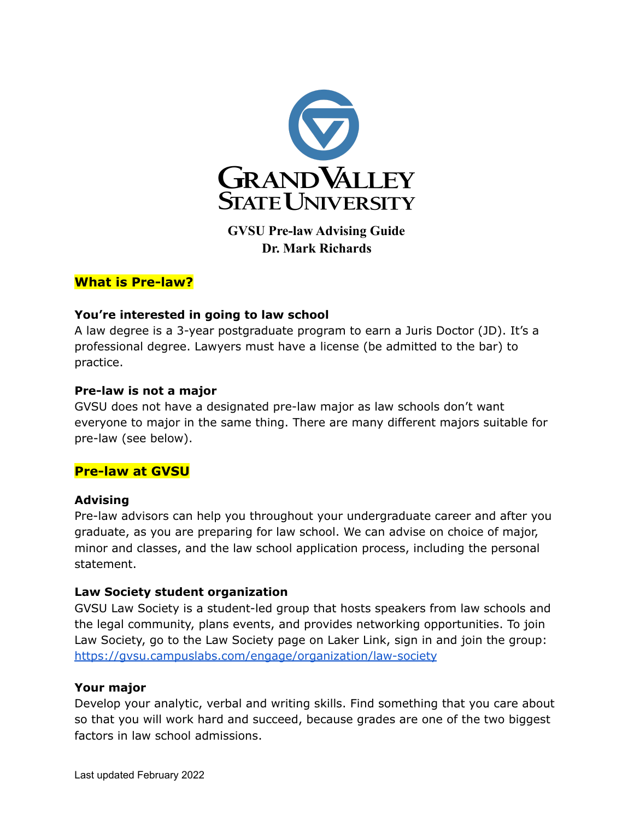

**GVSU Pre-law Advising Guide Dr. Mark Richards**

## **What is Pre-law?**

## **You're interested in going to law school**

A law degree is a 3-year postgraduate program to earn a Juris Doctor (JD). It's a professional degree. Lawyers must have a license (be admitted to the bar) to practice.

### **Pre-law is not a major**

GVSU does not have a designated pre-law major as law schools don't want everyone to major in the same thing. There are many different majors suitable for pre-law (see below).

## **Pre-law at GVSU**

### **Advising**

Pre-law advisors can help you throughout your undergraduate career and after you graduate, as you are preparing for law school. We can advise on choice of major, minor and classes, and the law school application process, including the personal statement.

### **Law Society student organization**

GVSU Law Society is a student-led group that hosts speakers from law schools and the legal community, plans events, and provides networking opportunities. To join Law Society, go to the Law Society page on Laker Link, sign in and join the group: <https://gvsu.campuslabs.com/engage/organization/law-society>

### **Your major**

Develop your analytic, verbal and writing skills. Find something that you care about so that you will work hard and succeed, because grades are one of the two biggest factors in law school admissions.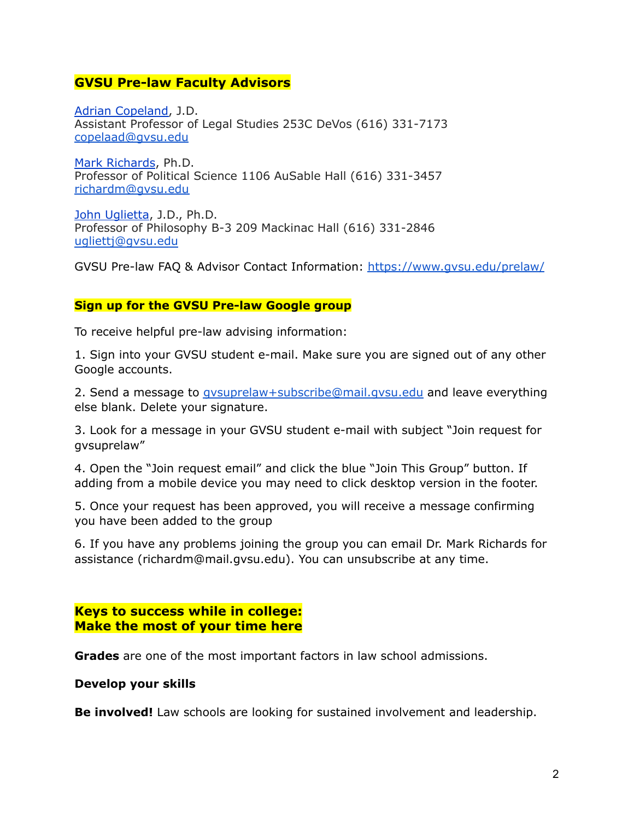## **GVSU Pre-law Faculty Advisors**

Adrian [Copeland,](https://www.gvsu.edu/cj/adrian-copeland-207.htm) J.D. Assistant Professor of Legal Studies 253C DeVos (616) 331-7173 [copelaad@gvsu.edu](mailto:copelaad@gvsu.edu)

Mark [Richards](http://gvsu.edu/polisci/professor-mark-richards-20.htm), Ph.D. Professor of Political Science 1106 AuSable Hall (616) 331-3457 [richardm@gvsu.edu](mailto:richardm@gvsu.edu)

John [Uglietta](https://www.gvsu.edu/philosophy/uglietta-john-121.htm), J.D., Ph.D. Professor of Philosophy B-3 209 Mackinac Hall (616) 331-2846 [ugliettj@gvsu.edu](mailto:ugliettj@gvsu.edu)

GVSU Pre-law FAQ & Advisor Contact Information: <https://www.gvsu.edu/prelaw/>

## **Sign up for the GVSU Pre-law Google group**

To receive helpful pre-law advising information:

1. Sign into your GVSU student e-mail. Make sure you are signed out of any other Google accounts.

2. Send a message to *gysuprelaw+subscribe@mail.gysu.edu* and leave everything else blank. Delete your signature.

3. Look for a message in your GVSU student e-mail with subject "Join request for gvsuprelaw"

4. Open the "Join request email" and click the blue "Join This Group" button. If adding from a mobile device you may need to click desktop version in the footer.

5. Once your request has been approved, you will receive a message confirming you have been added to the group

6. If you have any problems joining the group you can email Dr. Mark Richards for assistance (richardm@mail.gvsu.edu). You can unsubscribe at any time.

## **Keys to success while in college: Make the most of your time here**

**Grades** are one of the most important factors in law school admissions.

### **Develop your skills**

**Be involved!** Law schools are looking for sustained involvement and leadership.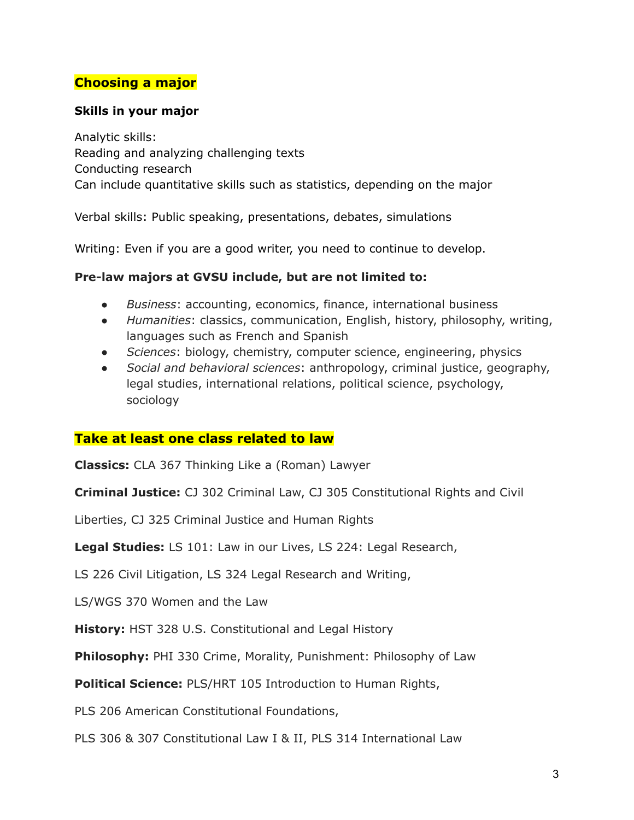# **Choosing a major**

## **Skills in your major**

Analytic skills: Reading and analyzing challenging texts Conducting research Can include quantitative skills such as statistics, depending on the major

Verbal skills: Public speaking, presentations, debates, simulations

Writing: Even if you are a good writer, you need to continue to develop.

## **Pre-law majors at GVSU include, but are not limited to:**

- *Business*: accounting, economics, finance, international business
- *Humanities*: classics, communication, English, history, philosophy, writing, languages such as French and Spanish
- Sciences: biology, chemistry, computer science, engineering, physics
- *Social and behavioral sciences*: anthropology, criminal justice, geography, legal studies, international relations, political science, psychology, sociology

## **Take at least one class related to law**

**Classics:** CLA 367 Thinking Like a (Roman) Lawyer

**Criminal Justice:** CJ 302 Criminal Law, CJ 305 Constitutional Rights and Civil

Liberties, CJ 325 Criminal Justice and Human Rights

**Legal Studies:** LS 101: Law in our Lives, LS 224: Legal Research,

LS 226 Civil Litigation, LS 324 Legal Research and Writing,

LS/WGS 370 Women and the Law

**History:** HST 328 U.S. Constitutional and Legal History

**Philosophy:** PHI 330 Crime, Morality, Punishment: Philosophy of Law

**Political Science:** PLS/HRT 105 Introduction to Human Rights,

PLS 206 American Constitutional Foundations,

PLS 306 & 307 Constitutional Law I & II, PLS 314 International Law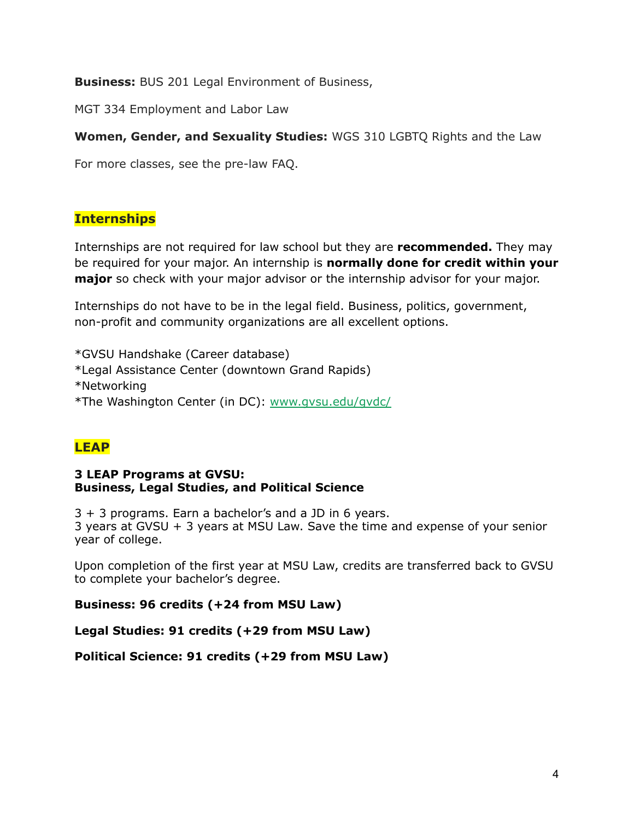**Business:** BUS 201 Legal Environment of Business,

MGT 334 Employment and Labor Law

**Women, Gender, and Sexuality Studies:** WGS 310 LGBTQ Rights and the Law

For more classes, see the pre-law FAQ.

# **Internships**

Internships are not required for law school but they are **recommended.** They may be required for your major. An internship is **normally done for credit within your major** so check with your major advisor or the internship advisor for your major.

Internships do not have to be in the legal field. Business, politics, government, non-profit and community organizations are all excellent options.

\*GVSU Handshake (Career database) \*Legal Assistance Center (downtown Grand Rapids) \*Networking \*The Washington Center (in DC): [www.gvsu.edu/gvdc/](http://www.gvsu.edu/gvdc/)

# **LEAP**

### **3 LEAP Programs at GVSU: Business, Legal Studies, and Political Science**

3 + 3 programs. Earn a bachelor's and a JD in 6 years. 3 years at GVSU + 3 years at MSU Law. Save the time and expense of your senior year of college.

Upon completion of the first year at MSU Law, credits are transferred back to GVSU to complete your bachelor's degree.

**Business: 96 credits (+24 from MSU Law)**

**Legal Studies: 91 credits (+29 from MSU Law)**

**Political Science: 91 credits (+29 from MSU Law)**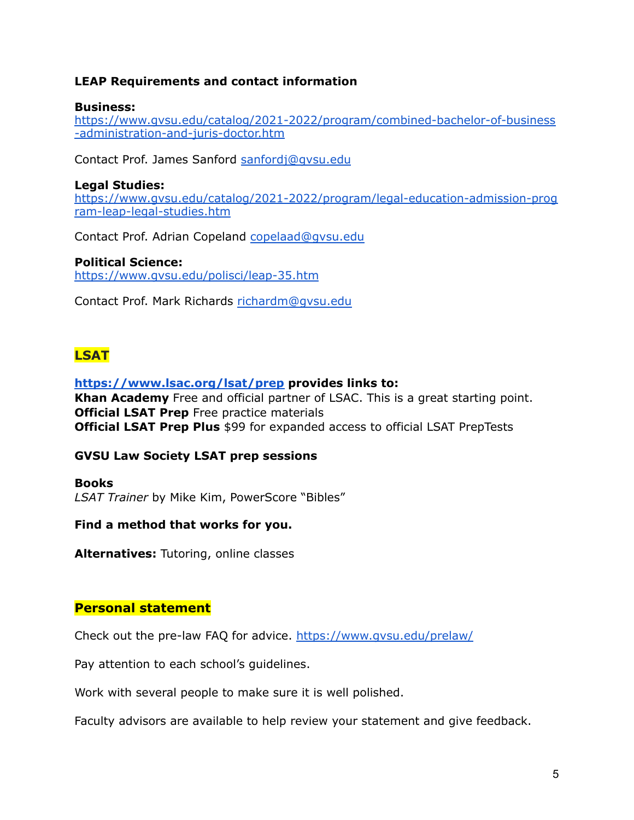## **LEAP Requirements and contact information**

### **Business:**

[https://www.gvsu.edu/catalog/2021-2022/program/combined-bachelor-of-business](https://www.gvsu.edu/catalog/2021-2022/program/combined-bachelor-of-business-administration-and-juris-doctor.htm) [-administration-and-juris-doctor.htm](https://www.gvsu.edu/catalog/2021-2022/program/combined-bachelor-of-business-administration-and-juris-doctor.htm)

Contact Prof. James Sanford [sanfordj@gvsu.edu](mailto:sanfordj@gvsu.edu)

### **Legal Studies:**

[https://www.gvsu.edu/catalog/2021-2022/program/legal-education-admission-prog](https://www.gvsu.edu/catalog/2021-2022/program/legal-education-admission-program-leap-legal-studies.htm) [ram-leap-legal-studies.htm](https://www.gvsu.edu/catalog/2021-2022/program/legal-education-admission-program-leap-legal-studies.htm)

Contact Prof. Adrian Copeland [copelaad@gvsu.edu](mailto:copelaad@gvsu.edu)

### **Political Science:**

<https://www.gvsu.edu/polisci/leap-35.htm>

Contact Prof. Mark Richards [richardm@gvsu.edu](mailto:richardm@gvsu.edu)

# **LSAT**

### **<https://www.lsac.org/lsat/prep> provides links to:**

**Khan Academy** Free and official partner of LSAC. This is a great starting point. **Official LSAT Prep** Free practice materials **Official LSAT Prep Plus** \$99 for expanded access to official LSAT PrepTests

## **GVSU Law Society LSAT prep sessions**

**Books** *LSAT Trainer* by Mike Kim, PowerScore "Bibles"

## **Find a method that works for you.**

**Alternatives:** Tutoring, online classes

## **Personal statement**

Check out the pre-law FAQ for advice. <https://www.gvsu.edu/prelaw/>

Pay attention to each school's guidelines.

Work with several people to make sure it is well polished.

Faculty advisors are available to help review your statement and give feedback.